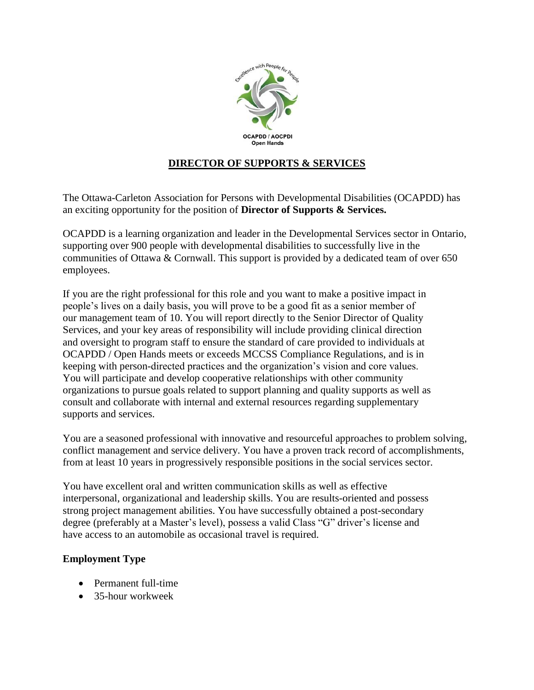

# **DIRECTOR OF SUPPORTS & SERVICES**

The Ottawa-Carleton Association for Persons with Developmental Disabilities (OCAPDD) has an exciting opportunity for the position of **Director of Supports & Services.**

OCAPDD is a learning organization and leader in the Developmental Services sector in Ontario, supporting over 900 people with developmental disabilities to successfully live in the communities of Ottawa & Cornwall. This support is provided by a dedicated team of over 650 employees.

If you are the right professional for this role and you want to make a positive impact in people's lives on a daily basis, you will prove to be a good fit as a senior member of our management team of 10. You will report directly to the Senior Director of Quality Services, and your key areas of responsibility will include providing clinical direction and oversight to program staff to ensure the standard of care provided to individuals at OCAPDD / Open Hands meets or exceeds MCCSS Compliance Regulations, and is in keeping with person-directed practices and the organization's vision and core values. You will participate and develop cooperative relationships with other community organizations to pursue goals related to support planning and quality supports as well as consult and collaborate with internal and external resources regarding supplementary supports and services.

You are a seasoned professional with innovative and resourceful approaches to problem solving, conflict management and service delivery. You have a proven track record of accomplishments, from at least 10 years in progressively responsible positions in the social services sector.

You have excellent oral and written communication skills as well as effective interpersonal, organizational and leadership skills. You are results-oriented and possess strong project management abilities. You have successfully obtained a post-secondary degree (preferably at a Master's level), possess a valid Class "G" driver's license and have access to an automobile as occasional travel is required.

## **Employment Type**

- Permanent full-time
- 35-hour workweek